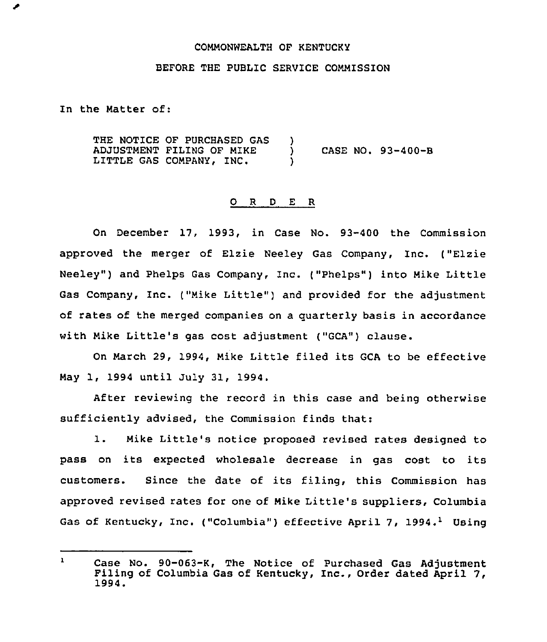### COMMONWEALTH OF KENTUCKY

### BEFORE THE PUBLIC SERVICE COMMISSION

In the Matter of:

THE NOTICE OF PURCHASED GAS ADJUSTMENT FILING OF MIKE LITTLE GAS COMPANY, INC. ) ) CASE NO. 93-400-B )

#### 0 <sup>R</sup> <sup>D</sup> <sup>E</sup> <sup>R</sup>

On December 17, 1993, in Case No. 93-400 the Commission approved the merger of Elzie Neeley Gas Company, Inc. ("Elzie Neeley") and Phelps Gas Company, Inc. ("Phelps") into Mike Little Gas Company, Inc. ("Mike Little") and provided for the adjustment of rates of the merged companies on a quarterly basis in accordance with Mike Little's gas cost adjustment ("GCA") clause.

On March 29, 1994, Mike Little filed its GCA to be effective May 1, 1994 until July 31, 1994.

After reviewing the record in this case and being otherwise sufficiently advised, the Commission finds that:

1. Mike Little's notice proposed revised rates designed to pass on its expected wholesale decrease in gas cost to its customers. Since the date of its f'ling, this Commission has approved revised rates for one of Mike Little's suppliers, Columbia Gas of Kentucky, Inc. ("Columbia") effective April 7, 1994.<sup>1</sup> Using

 $\mathbf{1}$ Case No. 90-063-K, The Notice of Purchased Gas Adjustment<br>Filing of Columbia Gas of Kentucky, Inc., Order dated April 7,<br>1994.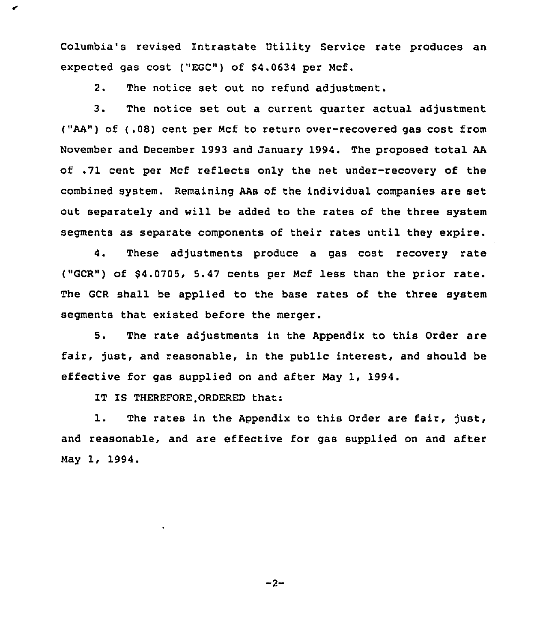Columbia's revised Intrastate Utility Service rate produces an expected gas cost ("EGC") of \$4.0634 per Mcf.

2. The notice set out no refund adjustment.

3. The notice set out <sup>a</sup> current quarter actual adjustment ("AA") of (.08) cent per Ncf to return over-recovered gas cost from November and December 1993 and January 1994. The proposed total AA of .71 cent per Ncf reflects only the net under-recovery of the combined system. Remaining AAs of the individual companies are set out separately and will be added to the rates of the three system segments as separate components of their rates until they expire.

4. These adjustments produce a gas cost recovery rate ("GCR") of \$4.0705, 5.47 cents per Mcf less than the prior rate. The GCR shall be applied to the base rates of the three system segments that existed before the merger.

5. The rate adjustments in the Appendix to this Order are fair, just, and reasonable, in the public interest, and should be effective for gas supplied on and after Nay 1, 1994.

IT IS THEREFORE.ORDERED that:

1. The rates in the Appendix to this Order are fair, just, and reasonable, and are effective for gas supplied on and after Nay 1, 1994.

 $-2-$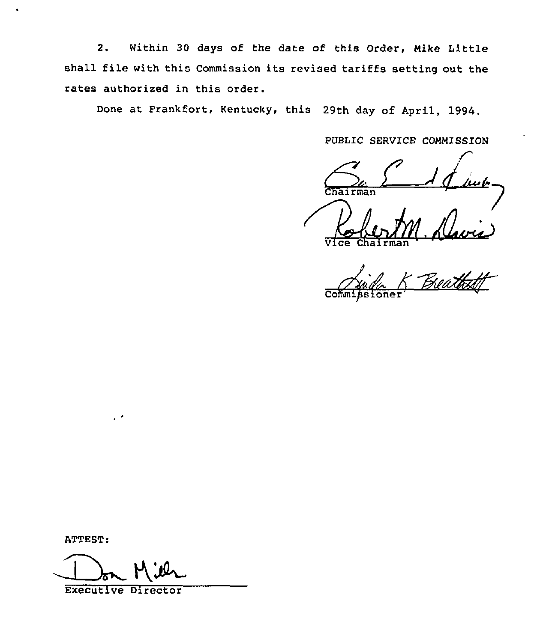2. Within 30 days of the date of this Order, Mike Little shall file with this Commission its revised tariffs setting out the rates authorized in this order.

Done at Frankfort, Kentucky, this 29th day of April, 1994.

PUBLIC SERVICE COMMISSION

 $\frac{1}{\sqrt{2\pi}}\int_{\ln 2}$ Chairman

 $\overline{\mathtt{Vlec}}$  Chairma

 $A$ 

ATTEST:

Executive Director

 $\cdot$  .